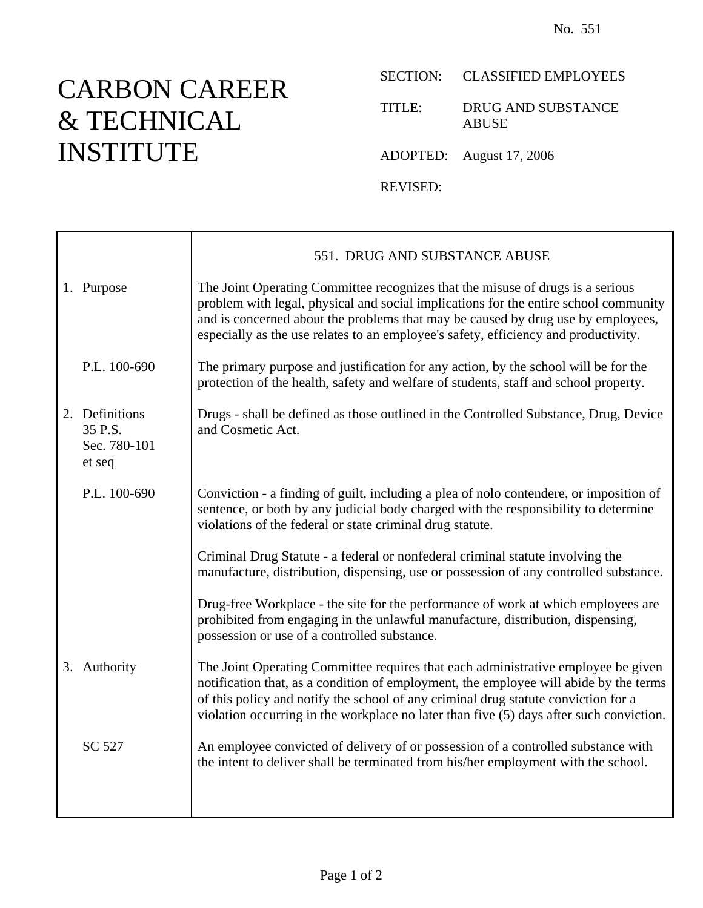## CARBON CAREER & TECHNICAL INSTITUTE

Ē

## SECTION: CLASSIFIED EMPLOYEES

TITLE: DRUG AND SUBSTANCE ABUSE

ADOPTED: August 17, 2006

REVISED:

|                                                     | 551. DRUG AND SUBSTANCE ABUSE                                                                                                                                                                                                                                                                                                                               |
|-----------------------------------------------------|-------------------------------------------------------------------------------------------------------------------------------------------------------------------------------------------------------------------------------------------------------------------------------------------------------------------------------------------------------------|
| 1. Purpose                                          | The Joint Operating Committee recognizes that the misuse of drugs is a serious<br>problem with legal, physical and social implications for the entire school community<br>and is concerned about the problems that may be caused by drug use by employees,<br>especially as the use relates to an employee's safety, efficiency and productivity.           |
| P.L. 100-690                                        | The primary purpose and justification for any action, by the school will be for the<br>protection of the health, safety and welfare of students, staff and school property.                                                                                                                                                                                 |
| 2. Definitions<br>35 P.S.<br>Sec. 780-101<br>et seq | Drugs - shall be defined as those outlined in the Controlled Substance, Drug, Device<br>and Cosmetic Act.                                                                                                                                                                                                                                                   |
| P.L. 100-690                                        | Conviction - a finding of guilt, including a plea of nolo contendere, or imposition of<br>sentence, or both by any judicial body charged with the responsibility to determine<br>violations of the federal or state criminal drug statute.                                                                                                                  |
|                                                     | Criminal Drug Statute - a federal or nonfederal criminal statute involving the<br>manufacture, distribution, dispensing, use or possession of any controlled substance.                                                                                                                                                                                     |
|                                                     | Drug-free Workplace - the site for the performance of work at which employees are<br>prohibited from engaging in the unlawful manufacture, distribution, dispensing,<br>possession or use of a controlled substance.                                                                                                                                        |
| 3. Authority                                        | The Joint Operating Committee requires that each administrative employee be given<br>notification that, as a condition of employment, the employee will abide by the terms<br>of this policy and notify the school of any criminal drug statute conviction for a<br>violation occurring in the workplace no later than five (5) days after such conviction. |
| SC 527                                              | An employee convicted of delivery of or possession of a controlled substance with<br>the intent to deliver shall be terminated from his/her employment with the school.                                                                                                                                                                                     |
|                                                     |                                                                                                                                                                                                                                                                                                                                                             |